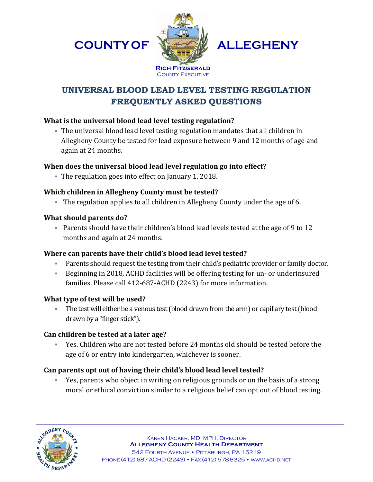**COUNTYOF**



**ALLEGHENY**

# **UNIVERSAL BLOOD LEAD LEVEL TESTING REGULATION FREQUENTLY ASKED QUESTIONS**

### **What is the universal blood lead level testing regulation?**

 The universal blood lead level testing regulation mandates that all children in Allegheny County be tested for lead exposure between 9 and 12 months of age and again at 24 months.

# **When does the universal blood lead level regulation go into effect?**

The regulation goes into effect on January 1, 2018.

# **Which children in Allegheny County must be tested?**

The regulation applies to all children in Allegheny County under the age of 6.

# **What should parents do?**

 Parents should have their children's blood lead levels tested at the age of 9 to 12 months and again at 24 months.

# **Where can parents have their child's blood lead level tested?**

- Parents should request the testing from their child's pediatric provider or family doctor.
- Beginning in 2018, ACHD facilities will be offering testing for un- or underinsured families. Please call 412-687-ACHD (2243) for more information.

# **What type of test will be used?**

The test will either be a venous test (blood drawn from the arm) or capillary test (blood drawn by a "finger stick").

# **Can children be tested at a later age?**

 Yes. Children who are not tested before 24 months old should be tested before the age of 6 or entry into kindergarten, whichever is sooner.

# **Can parents opt out of having their child's blood lead level tested?**

 Yes, parents who object in writing on religious grounds or on the basis of a strong moral or ethical conviction similar to a religious belief can opt out of blood testing.

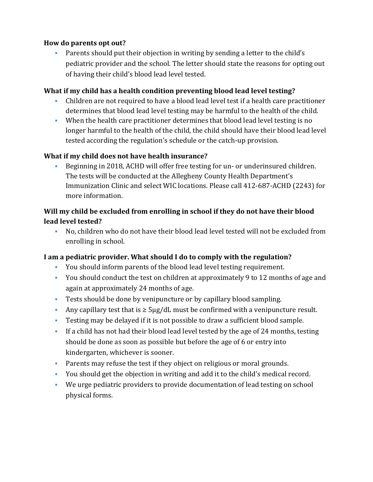#### **How do parents opt out?**

 Parents should put their objection in writing by sending a letter to the child's pediatric provider and the school. The letter should state the reasons for opting out of having their child's blood lead level tested.

#### **What if my child has a health condition preventing blood lead level testing?**

- Children are not required to have a blood lead level test if a health care practitioner determines that blood lead level testing may be harmful to the health of the child.
- When the health care practitioner determines that blood lead level testing is no longer harmful to the health of the child, the child should have their blood lead level tested according the regulation's schedule or the catch-up provision.

#### **What if my child does not have health insurance?**

 Beginning in 2018, ACHD will offer free testing for un- or underinsured children. The tests will be conducted at the Allegheny County Health Department's Immunization Clinic and select WIC locations. Please call 412-687-ACHD (2243) for more information.

### **Will my child be excluded from enrolling in school if they do not have their blood lead level tested?**

 No, children who do not have their blood lead level tested will not be excluded from enrolling in school.

#### **I am a pediatric provider. What should I do to comply with the regulation?**

- You should inform parents of the blood lead level testing requirement.
- You should conduct the test on children at approximately 9 to 12 months of age and again at approximately 24 months of age.
- Tests should be done by venipuncture or by capillary blood sampling.
- Any capillary test that is  $\geq 5\mu g/dL$  must be confirmed with a venipuncture result.
- Testing may be delayed if it is not possible to draw a sufficient blood sample.
- If a child has not had their blood lead level tested by the age of 24 months, testing should be done as soon as possible but before the age of 6 or entry into kindergarten, whichever is sooner.
- Parents may refuse the test if they object on religious or moral grounds.
- You should get the objection in writing and add it to the child's medical record.
- We urge pediatric providers to provide documentation of lead testing on school physical forms.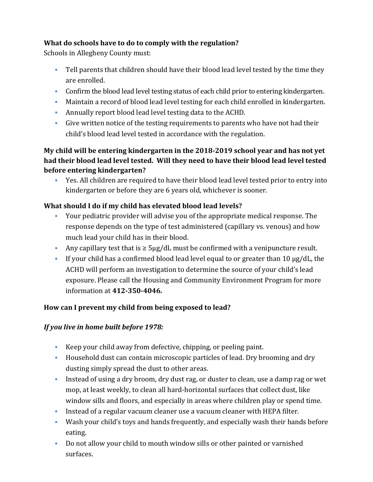# **What do schools have to do to comply with the regulation?**

Schools in Allegheny County must:

- Tell parents that children should have their blood lead level tested by the time they are enrolled.
- Confirm the blood lead level testing status of each child prior to entering kindergarten.
- Maintain a record of blood lead level testing for each child enrolled in kindergarten.
- Annually report blood lead level testing data to the ACHD.
- Give written notice of the testing requirements to parents who have not had their child's blood lead level tested in accordance with the regulation.

# **My child will be entering kindergarten in the 2018-2019 school year and has not yet had their blood lead level tested. Will they need to have their blood lead level tested before entering kindergarten?**

 Yes. All children are required to have their blood lead level tested prior to entry into kindergarten or before they are 6 years old, whichever is sooner.

# **What should I do if my child has elevated blood lead levels?**

- Your pediatric provider will advise you of the appropriate medical response. The response depends on the type of test administered (capillary vs. venous) and how much lead your child has in their blood.
- Any capillary test that is  $\geq 5\mu g/dL$  must be confirmed with a venipuncture result.
- If your child has a confirmed blood lead level equal to or greater than 10  $\mu$ g/dL, the ACHD will perform an investigation to determine the source of your child's lead exposure. Please call the Housing and Community Environment Program for more information at **412-350-4046.**

# **How can I prevent my child from being exposed to lead?**

# *If you live in home built before 1978:*

- Keep your child away from defective, chipping, or peeling paint.
- Household dust can contain microscopic particles of lead. Dry brooming and dry dusting simply spread the dust to other areas.
- Instead of using a dry broom, dry dust rag, or duster to clean, use a damp rag or wet mop, at least weekly, to clean all hard-horizontal surfaces that collect dust, like window sills and floors, and especially in areas where children play or spend time.
- Instead of a regular vacuum cleaner use a vacuum cleaner with HEPA filter.
- Wash your child's toys and hands frequently, and especially wash their hands before eating.
- Do not allow your child to mouth window sills or other painted or varnished surfaces.